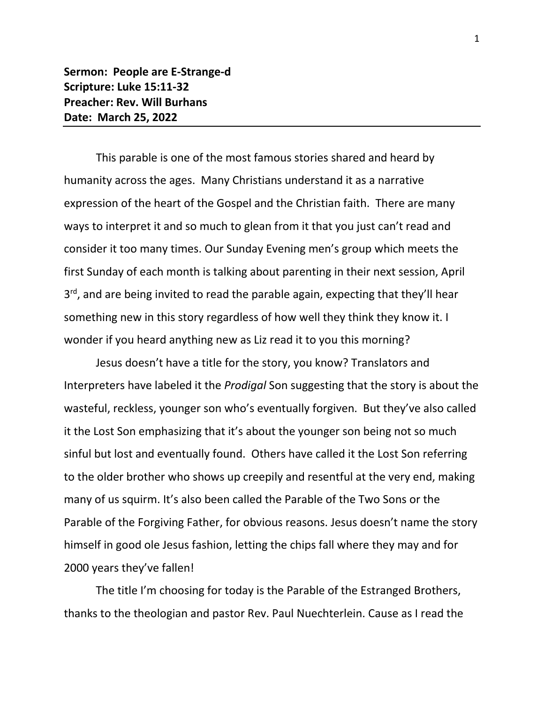**Sermon: People are E-Strange-d Scripture: Luke 15:11-32 Preacher: Rev. Will Burhans Date: March 25, 2022**

This parable is one of the most famous stories shared and heard by humanity across the ages. Many Christians understand it as a narrative expression of the heart of the Gospel and the Christian faith. There are many ways to interpret it and so much to glean from it that you just can't read and consider it too many times. Our Sunday Evening men's group which meets the first Sunday of each month is talking about parenting in their next session, April 3<sup>rd</sup>, and are being invited to read the parable again, expecting that they'll hear something new in this story regardless of how well they think they know it. I wonder if you heard anything new as Liz read it to you this morning?

Jesus doesn't have a title for the story, you know? Translators and Interpreters have labeled it the *Prodigal* Son suggesting that the story is about the wasteful, reckless, younger son who's eventually forgiven. But they've also called it the Lost Son emphasizing that it's about the younger son being not so much sinful but lost and eventually found. Others have called it the Lost Son referring to the older brother who shows up creepily and resentful at the very end, making many of us squirm. It's also been called the Parable of the Two Sons or the Parable of the Forgiving Father, for obvious reasons. Jesus doesn't name the story himself in good ole Jesus fashion, letting the chips fall where they may and for 2000 years they've fallen!

The title I'm choosing for today is the Parable of the Estranged Brothers, thanks to the theologian and pastor Rev. Paul Nuechterlein. Cause as I read the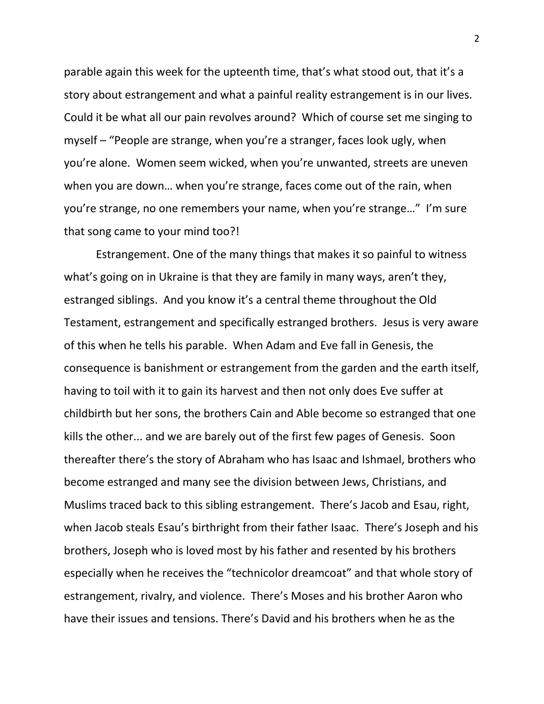parable again this week for the upteenth time, that's what stood out, that it's a story about estrangement and what a painful reality estrangement is in our lives. Could it be what all our pain revolves around? Which of course set me singing to myself – "People are strange, when you're a stranger, faces look ugly, when you're alone. Women seem wicked, when you're unwanted, streets are uneven when you are down… when you're strange, faces come out of the rain, when you're strange, no one remembers your name, when you're strange…" I'm sure that song came to your mind too?!

Estrangement. One of the many things that makes it so painful to witness what's going on in Ukraine is that they are family in many ways, aren't they, estranged siblings. And you know it's a central theme throughout the Old Testament, estrangement and specifically estranged brothers. Jesus is very aware of this when he tells his parable. When Adam and Eve fall in Genesis, the consequence is banishment or estrangement from the garden and the earth itself, having to toil with it to gain its harvest and then not only does Eve suffer at childbirth but her sons, the brothers Cain and Able become so estranged that one kills the other... and we are barely out of the first few pages of Genesis. Soon thereafter there's the story of Abraham who has Isaac and Ishmael, brothers who become estranged and many see the division between Jews, Christians, and Muslims traced back to this sibling estrangement. There's Jacob and Esau, right, when Jacob steals Esau's birthright from their father Isaac. There's Joseph and his brothers, Joseph who is loved most by his father and resented by his brothers especially when he receives the "technicolor dreamcoat" and that whole story of estrangement, rivalry, and violence. There's Moses and his brother Aaron who have their issues and tensions. There's David and his brothers when he as the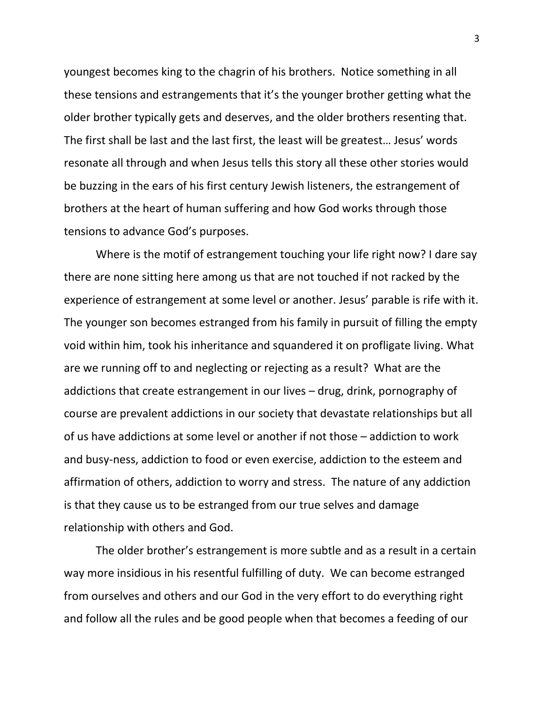youngest becomes king to the chagrin of his brothers. Notice something in all these tensions and estrangements that it's the younger brother getting what the older brother typically gets and deserves, and the older brothers resenting that. The first shall be last and the last first, the least will be greatest… Jesus' words resonate all through and when Jesus tells this story all these other stories would be buzzing in the ears of his first century Jewish listeners, the estrangement of brothers at the heart of human suffering and how God works through those tensions to advance God's purposes.

Where is the motif of estrangement touching your life right now? I dare say there are none sitting here among us that are not touched if not racked by the experience of estrangement at some level or another. Jesus' parable is rife with it. The younger son becomes estranged from his family in pursuit of filling the empty void within him, took his inheritance and squandered it on profligate living. What are we running off to and neglecting or rejecting as a result? What are the addictions that create estrangement in our lives – drug, drink, pornography of course are prevalent addictions in our society that devastate relationships but all of us have addictions at some level or another if not those – addiction to work and busy-ness, addiction to food or even exercise, addiction to the esteem and affirmation of others, addiction to worry and stress. The nature of any addiction is that they cause us to be estranged from our true selves and damage relationship with others and God.

The older brother's estrangement is more subtle and as a result in a certain way more insidious in his resentful fulfilling of duty. We can become estranged from ourselves and others and our God in the very effort to do everything right and follow all the rules and be good people when that becomes a feeding of our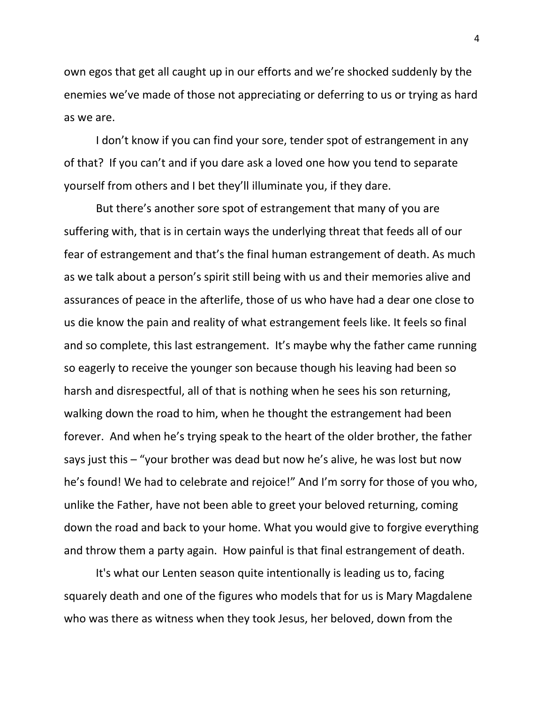own egos that get all caught up in our efforts and we're shocked suddenly by the enemies we've made of those not appreciating or deferring to us or trying as hard as we are.

I don't know if you can find your sore, tender spot of estrangement in any of that? If you can't and if you dare ask a loved one how you tend to separate yourself from others and I bet they'll illuminate you, if they dare.

But there's another sore spot of estrangement that many of you are suffering with, that is in certain ways the underlying threat that feeds all of our fear of estrangement and that's the final human estrangement of death. As much as we talk about a person's spirit still being with us and their memories alive and assurances of peace in the afterlife, those of us who have had a dear one close to us die know the pain and reality of what estrangement feels like. It feels so final and so complete, this last estrangement. It's maybe why the father came running so eagerly to receive the younger son because though his leaving had been so harsh and disrespectful, all of that is nothing when he sees his son returning, walking down the road to him, when he thought the estrangement had been forever. And when he's trying speak to the heart of the older brother, the father says just this – "your brother was dead but now he's alive, he was lost but now he's found! We had to celebrate and rejoice!" And I'm sorry for those of you who, unlike the Father, have not been able to greet your beloved returning, coming down the road and back to your home. What you would give to forgive everything and throw them a party again. How painful is that final estrangement of death.

It's what our Lenten season quite intentionally is leading us to, facing squarely death and one of the figures who models that for us is Mary Magdalene who was there as witness when they took Jesus, her beloved, down from the